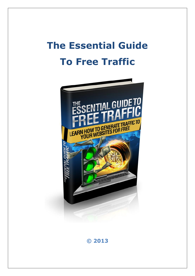# **The Essential Guide To Free Traffic**



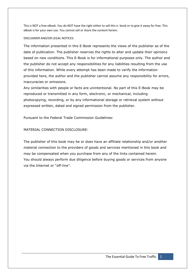This is NOT a free eBook. You do NOT have the right either to sell this e- book or to give it away for free. This eBook is for your own use. You cannot sell or share the content herein.

#### DISCLAIMER AND/OR LEGAL NOTICES:

The information presented in this E-Book represents the views of the publisher as of the date of publication. The publisher reserves the rights to alter and update their opinions based on new conditions. This E-Book is for informational purposes only. The author and the publisher do not accept any responsibilities for any liabilities resulting from the use of this information. While every attempt has been made to verify the information provided here, the author and the publisher cannot assume any responsibility for errors, inaccuracies or omissions.

Any similarities with people or facts are unintentional. No part of this E-Book may be reproduced or transmitted in any form, electronic, or mechanical, including photocopying, recording, or by any informational storage or retrieval system without expressed written, dated and signed permission from the publisher.

Pursuant to the Federal Trade Commission Guidelines:

#### MATERIAL CONNECTION DISCLOSURE:

The publisher of this book may be or does have an affiliate relationship and/or another material connection to the providers of goods and services mentioned in this book and may be compensated when you purchase from any of the links contained herein. You should always perform due diligence before buying goods or services from anyone via the Internet or "off-line".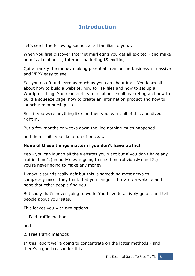# **Introduction**

Let's see if the following sounds at all familiar to you...

When you first discover Internet marketing you get all excited - and make no mistake about it, Internet marketing IS exciting.

Quite frankly the money making potential in an online business is massive and VERY easy to see...

So, you go off and learn as much as you can about it all. You learn all about how to build a website, how to FTP files and how to set up a Wordpress blog. You read and learn all about email marketing and how to build a squeeze page, how to create an information product and how to launch a membership site.

So - if you were anything like me then you learnt all of this and dived right in.

But a few months or weeks down the line nothing much happened.

and then it hits you like a ton of bricks...

#### **None of these things matter if you don't have traffic!**

Yep - you can launch all the websites you want but if you don't have any traffic then 1.) nobody's ever going to see them (obviously) and 2.) you're never going to make any money.

I know it sounds really daft but this is something most newbies completely miss. They think that you can just throw up a website and hope that other people find you...

But sadly that's never going to work. You have to actively go out and tell people about your sites.

This leaves you with two options:

1. Paid traffic methods

and

2. Free traffic methods

In this report we're going to concentrate on the latter methods - and there's a good reason for this...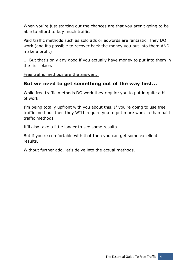When you're just starting out the chances are that you aren't going to be able to afford to buy much traffic.

Paid traffic methods such as solo ads or adwords are fantastic. They DO work (and it's possible to recover back the money you put into them AND make a profit)

... But that's only any good if you actually have money to put into them in the first place.

Free traffic methods are the answer...

# **But we need to get something out of the way first...**

While free traffic methods DO work they require you to put in quite a bit of work.

I'm being totally upfront with you about this. If you're going to use free traffic methods then they WILL require you to put more work in than paid traffic methods.

It'll also take a little longer to see some results...

But if you're comfortable with that then you can get some excellent results.

Without further ado, let's delve into the actual methods.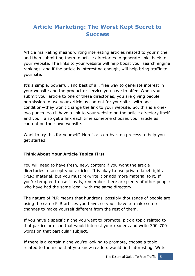# **Article Marketing: The Worst Kept Secret to Success**

Article marketing means writing interesting articles related to your niche, and then submitting them to article directories to generate links back to your website. The links to your website will help boost your search engine rankings, and if the article is interesting enough, will help bring traffic to your site.

It's a simple, powerful, and best of all, free way to generate interest in your website and the product or service you have to offer. When you submit your article to one of these directories, you are giving people permission to use your article as content for your site—with one condition—they won't change the link to your website. So, this is a onetwo punch. You'll have a link to your website on the article directory itself, and you'll also get a link each time someone chooses your article as content on their own website.

Want to try this for yourself? Here's a step-by-step process to help you get started.

#### **Think About Your Article Topics First**

You will need to have fresh, new, content if you want the article directories to accept your articles. It is okay to use private label rights (PLR) material, but you must re-write it or add more material to it. If you're tempted to use it as-is, remember there are plenty of other people who have had the same idea—with the same directory.

The nature of PLR means that hundreds, possibly thousands of people are using the same PLR articles you have, so you'll have to make some changes to make yourself different from the rest of them.

If you have a specific niche you want to promote, pick a topic related to that particular niche that would interest your readers and write 300-700 words on that particular subject.

If there is a certain niche you're looking to promote, choose a topic related to the niche that you know readers would find interesting. Write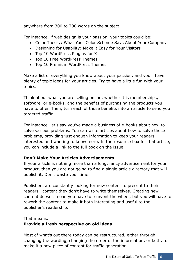anywhere from 300 to 700 words on the subject.

For instance, if web design is your passion, your topics could be:

- Color Theory: What Your Color Scheme Says About Your Company
- Designing for Usability: Make it Easy for Your Visitors
- Top 10 WordPress Plugins for X
- Top 10 Free WordPress Themes
- Top 10 Premium WordPress Themes

Make a list of everything you know about your passion, and you'll have plenty of topic ideas for your articles. Try to have a little fun with your topics.

Think about what you are selling online, whether it is memberships, software, or e-books, and the benefits of purchasing the products you have to offer. Then, turn each of those benefits into an article to send you targeted traffic.

For instance, let's say you've made a business of e-books about how to solve various problems. You can write articles about how to solve those problems, providing just enough information to keep your readers interested and wanting to know more. In the resource box for that article, you can include a link to the full book on the issue.

## **Don't Make Your Articles Advertisements**

If your article is nothing more than a long, fancy advertisement for your product, then you are not going to find a single article directory that will publish it. Don't waste your time.

Publishers are constantly looking for new content to present to their readers—content they don't have to write themselves. Creating new content doesn't mean you have to reinvent the wheel, but you will have to rework the content to make it both interesting and useful to the publisher's readership.

#### That means:

## **Provide a fresh perspective on old ideas**

Most of what's out there today can be restructured, either through changing the wording, changing the order of the information, or both, to make it a new piece of content for traffic generation.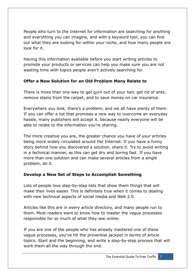People who turn to the Internet for information are searching for anything and everything you can imagine, and with a keyword tool, you can find out what they are looking for within your niche, and how many people are look for it.

Having this information available before you start writing articles to promote your products or services can help you make sure you are not wasting time with topics people aren't actively searching for.

## **Offer a New Solution for an Old Problem Many Relate to**

There is more than one way to get gum out of your hair, get rid of ants, remove stains from the carpet, and to save money on car insurance.

Everywhere you look, there's a problem, and we all have plenty of them. If you can offer a list that promises a new way to overcome an everyday hassle, many publishers will accept it, because nearly everyone will be able to relate to the information you're sharing.

The more creative you are, the greater chance you have of your articles being more widely circulated around the Internet. If you have a funny story behind how you discovered a solution, share it. Try to avoid writing in a technical manner, as this can get dry and boring fast. If you have more than one solution and can make several articles from a single problem, do it.

## **Develop a New Set of Steps to Accomplish Something**

Lots of people love step-by-step lists that show them things that will make their lives easier. This is definitely true when it comes to dealing with new technical aspects of social media and Web 2.0.

Articles like this are in every article directory, and many people run to them. Most readers want to know how to master the vague processes responsible for so much of what they see online.

If you are one of the people who has already mastered one of these vague processes, you've hit the proverbial jackpot in terms of article topics. Start and the beginning, and write a step-by-step process that will work them all the way through the end.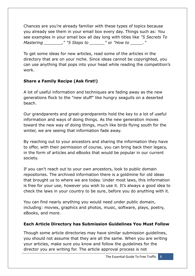Chances are you're already familiar with these types of topics because you already see them in your email box every day. Things such as: You see examples in your email box all day long with titles like *"5 Secrets To Mastering \_\_\_\_\_\_\_," "5 Steps to \_\_\_\_\_\_"* or *"How to \_\_\_\_\_."*

To get some ideas for new articles, read some of the articles in the directory that are on your niche. Since ideas cannot be copyrighted, you can use anything that pops into your head while reading the competition's work.

## **Share a Family Recipe (Ask first!)**

A lot of useful information and techniques are fading away as the new generations flock to the "new stuff" like hungry seagulls on a deserted beach.

Our grandparents and great-grandparents hold the key to a lot of useful information and ways of doing things. As the new generation moves toward the new way of doing things, much like birds flying south for the winter, we are seeing that information fade away.

By reaching out to your ancestors and sharing the information they have to offer, with their permission of course, you can bring back their legacy, in the form of articles and eBooks that would be popular in our current society.

If you can't reach out to your own ancestors, look to public domain repositories. The archived information there is a goldmine for old ideas that brought us to where we are today. Under most laws, this information is free for your use, however you wish to use it. It's always a good idea to check the laws in your country to be sure, before you do anything with it.

You can find nearly anything you would need under public domain, including: movies, graphics and photos, music, software, plays, poetry, eBooks, and more.

## **Each Article Directory has Submission Guidelines You Must Follow**

Though some article directories may have similar submission guidelines, you should not assume that they are all the same. When you are writing your articles, make sure you know and follow the guidelines for the director you are writing for. The article approval process is not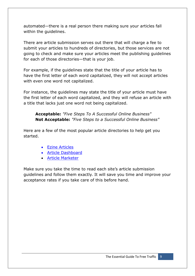automated—there is a real person there making sure your articles fall within the guidelines.

There are article submission serves out there that will charge a fee to submit your articles to hundreds of directories, but those services are not going to check and make sure your articles meet the publishing guidelines for each of those directories—that is your job.

For example, if the guidelines state that the title of your article has to have the first letter of each word capitalized, they will not accept articles with even one word not capitalized.

For instance, the guidelines may state the title of your article must have the first letter of each word capitalized, and they will refuse an article with a title that lacks just one word not being capitalized.

**Acceptable:** *"Five Steps To A Successful Online Business"* **Not Acceptable:** *"Five Steps to a Successful Online Business"*

Here are a few of the most popular article directories to help get you started.

- [Ezine Articles](http://www.ezinearticles.com/)
- [Article Dashboard](http://www.articledashboard.com/)
- [Article Marketer](http://www.articlemarketer.com/)

Make sure you take the time to read each site's article submission guidelines and follow them exactly. It will save you time and improve your acceptance rates if you take care of this before hand.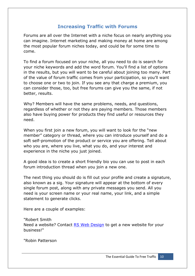# **Increasing Traffic with Forums**

Forums are all over the Internet with a niche focus on nearly anything you can imagine. Internet marketing and making money at home are among the most popular forum niches today, and could be for some time to come.

To find a forum focused on your niche, all you need to do is search for your niche keywords and add the word forum. You'll find a list of options in the results, but you will want to be careful about joining too many. Part of the value of forum traffic comes from your participation, so you'll want to choose one or two to join. If you see any that charge a premium, you can consider those, too, but free forums can give you the same, if not better, results.

Why? Members will have the same problems, needs, and questions, regardless of whether or not they are paying members. Those members also have buying power for products they find useful or resources they need.

When you first join a new forum, you will want to look for the "new member" category or thread, where you can introduce yourself and do a soft self-promotion of the product or service you are offering. Tell about who you are, where you live, what you do, and your interest and experience in the niche you just joined.

A good idea is to create a short friendly bio you can use to post in each forum introduction thread when you join a new one.

The next thing you should do is fill out your profile and create a signature, also known as a sig. Your signature will appear at the bottom of every single forum post, along with any private messages you send. All you need is your screen name or your real name, your link, and a simple statement to generate clicks.

Here are a couple of examples:

"Robert Smith Need a website? Contact RS Web Design to get a new website for your business!"

"Robin Patterson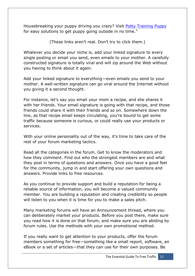Housebreaking your puppy driving you crazy? Visit Potty Training Puppy for easy solutions to get puppy going outside in no time."

(These links aren't real. Don't try to click them.)

Whatever you decide your niche is, add your linked signature to every single posting or email you send, even emails to your mother. A carefully constructed signature is totally viral and will zip around the Web without you having to think about it again.

Add your linked signature to everything—even emails you send to your mother. A well-written signature can go viral around the Internet without you giving it a second thought.

For instance, let's say you email your mom a recipe, and she shares it with her friends. Your email signature is going with that recipe, and those friends could share it with their friends and so on. Somewhere down the line, as that recipe email keeps circulating, you're bound to get some traffic because someone is curious, or could really use your products or services.

With your online personality out of the way, it's time to take care of the rest of your forum marketing tactics.

Read all the categories in the forum. Get to know the moderators and how they comment. Find out who the strongest members are and what they post in terms of questions and answers. Once you have a good feel for the community, jump in and start offering your own questions and answers. Provide links to free resources.

As you continue to provide support and build a reputation for being a reliable source of information, you will become a valued community member. You are building a reputation and creating credibility so people will listen to you when it is time for you to make a sales pitch.

Many marketing forums will have an Announcement thread, where you can deliberately market your products. Before you post there, make sure you read how it is done on that forum, and make sure you are abiding by forum rules. Use the methods with your own promotional method.

If you really want to get attention to your products, offer the forum members something for free—something like a small report, software, an eBook or a set of articles—that they can use for their own purposes. Be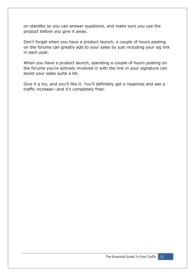on standby so you can answer questions, and make sure you use the product before you give it away.

Don't forget when you have a product launch, a couple of hours posting on the forums can greatly add to your sales by just including your sig link in each post.

When you have a product launch, spending a couple of hours posting on the forums you're actively involved in with the link in your signature can boost your sales quite a bit.

Give it a try, and you'll like it. You'll definitely get a response and see a traffic increase—and it's completely free!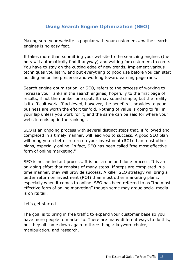# **Using Search Engine Optimization (SEO)**

Making sure your website is popular with your customers *and* the search engines is no easy feat.

It takes more than submitting your website to the searching engines (the bots will automatically find it anyway) and waiting for customers to come. You have to stay on the cutting edge of new trends, implement various techniques you learn, and put everything to good use before you can start building an online presence and working toward earning page rank.

Search engine optimization, or SEO, refers to the process of working to increase your ranks in the search engines, hopefully to the first page of results, if not the number one spot. It may sound simple, but the reality is it difficult work. If achieved, however, the benefits it provides to your business are worth the effort tenfold. Nothing of value is going to fall in your lap unless you work for it, and the same can be said for where your website ends up in the rankings.

SEO is an ongoing process with several distinct steps that, if followed and completed in a timely manner, will lead you to success. A good SEO plan will bring you a better return on your investment (ROI) than most other plans, especially online. In fact, SEO has been called "the most effective form of online marketing."

SEO is not an instant process. It is not a one and done process. It is an on-going effort that consists of many steps. If steps are completed in a time manner, they will provide success. A killer SEO strategy will bring a better return on investment (ROI) than most other marketing plans, especially when it comes to online. SEO has been referred to as "the most effective form of online marketing" though some may argue social media is on its tail.

Let's get started.

The goal is to bring in free traffic to expand your customer base so you have more people to market to. There are many different ways to do this, but they all come down again to three things: keyword choice, manipulation, and research.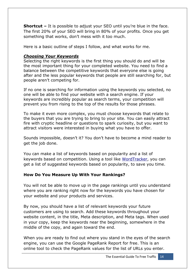**Shortcut –** It is possible to adjust your SEO until you're blue in the face. The first 20% of your SEO will bring in 80% of your profits. Once you get something that works, don't mess with it too much.

Here is a basic outline of steps I follow, and what works for me.

#### *Choosing Your Keywords*

Selecting the right keywords is the first thing you should do and will be the most important thing for your completed website. You need to find a balance between the competitive keywords that everyone else is going after and the less popular keywords that people are still searching for, but people aren't competing for.

If no one is searching for information using the keywords you selected, no one will be able to find your website with a search engine. If your keywords are incredibly popular as search terms, your competition will prevent you from rising to the top of the results for those phrases.

To make it even more complex, you must choose keywords that relate to the buyers that you are trying to bring to your site. You can easily attract fire with cryptic headline or questions to spark curiosity, but you want to attract visitors were interested in buying what you have to offer.

Sounds impossible, doesn't it? You don't have to become a mind reader to get the job done.

You can make a list of keywords based on popularity and a list of keywords based on competition. Using a tool like [WordTracker,](http://www.wordtracker.com/) you can get a list of suggested keywords based on popularity, to save you time.

#### **How Do You Measure Up With Your Rankings?**

You will not be able to move up in the page rankings until you understand where you are ranking right now for the keywords you have chosen for your website and your products and services.

By now, you should have a list of relevant keywords your future customers are using to search. Add these keywords throughout your website content, in the title, Meta description, and Meta tags. When used in your copy, keep the keywords near the beginning, somewhere in the middle of the copy, and again toward the end.

When you are ready to find out where you stand in the eyes of the search engine, you can use the Google PageRank Report for free. This is an online tool to check the PageRank values for the list of URLs you enter.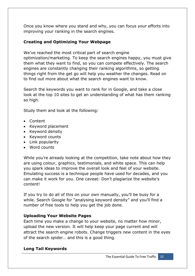Once you know where you stand and why, you can focus your efforts into improving your ranking in the search engines.

### **Creating and Optimizing Your Webpage**

We've reached the most critical part of search engine optimization/marketing. To keep the search engines happy, you must give them what they want to find, so you can compete effectively. The search engines are constantly changing their ranking algorithms, so getting things right from the get go will help you weather the changes. Read on to find out more about what the search engines want to know.

Search the keywords you want to rank for in Google, and take a close look at the top 10 sites to get an understanding of what has them ranking so high.

Study them and look at the following:

- Content
- Keyword placement
- Keyword density
- Keyword counts
- Link popularity
- Word counts

While you're already looking at the competition, take note about how they are using colour, graphics, testimonials, and white space. This can help you spark ideas to improve the overall look and feel of your website. Emulating success is a technique people have used for decades, and you can make it work for you. One caveat: Don't plagiarize the website's content!

If you try to do all of this on your own manually, you'll be busy for a while. Search Google for "analysing keyword density" and you'll find a number of free tools to help you get the job done.

#### **Uploading Your Website Pages**

Each time you make a change to your website, no matter how minor, upload the new version. It will help keep your page current and will attract the search engine robots. Change triggers new content in the eyes of the search spider… and this is a good thing.

#### **Long Tail Keywords**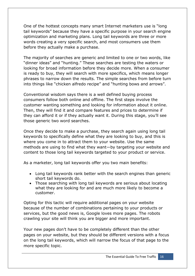One of the hottest concepts many smart Internet marketers use is "long tail keywords" because they have a specific purpose in your search engine optimization and marketing plans. Long tail keywords are three or more words creating a very specific search, and most consumers use them before they actually make a purchase.

The majority of searches are generic and limited to one or two words, like "dinner ideas" and "hunting." These searches are testing the waters or looking for broad information before they decide more. When a consumer is ready to buy, they will search with more specifics, which means longer phrases to narrow down the results. The simple searches from before turn into things like "chicken alfredo recipe" and "hunting bows and arrows".

Conventional wisdom says there is a well defined buying process consumers follow both online and offline. The first steps involve the customer wanting something and looking for information about it online. Then, they will find it and compare features and prices to determine if they can afford it or if they actually want it. During this stage, you'll see those generic two word searches.

Once they decide to make a purchase, they search again using long tail keywords to specifically define what they are looking to buy, and this is where you come in to attract them to your website. Use the same methods are using to find what they want—by targeting your website and content to those long tail keywords targeted to your product or service.

As a marketer, long tail keywords offer you two main benefits:

- Long tail keywords rank better with the search engines than generic short tail keywords do.
- Those searching with long tail keywords are serious about locating what they are looking for and are much more likely to become a customer.

Opting for this tactic will require additional pages on your website because of the number of combinations pertaining to your products or services, but the good news is, Google loves more pages. The robots crawling your site will think you are bigger and more important.

Your new pages don't have to be completely different than the other pages on your website, but they should be different versions with a focus on the long tail keywords, which will narrow the focus of that page to the more specific topic.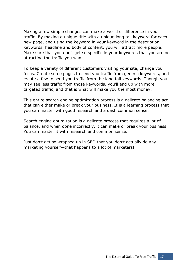Making a few simple changes can make a world of difference in your traffic. By making a unique title with a unique long tail keyword for each new page, and using the keyword in your keyword in the description, keywords, headline and body of content, you will attract more people. Make sure that you don't get so specific in your keywords that you are not attracting the traffic you want.

To keep a variety of different customers visiting your site, change your focus. Create some pages to send you traffic from generic keywords, and create a few to send you traffic from the long tail keywords. Though you may see less traffic from those keywords, you'll end up with more targeted traffic, and that is what will make you the most money.

This entire search engine optimization process is a delicate balancing act that can either make or break your business. It is a learning process that you can master with good research and a dash common sense.

Search engine optimization is a delicate process that requires a lot of balance, and when done incorrectly, it can make or break your business. You can master it with research and common sense.

Just don't get so wrapped up in SEO that you don't actually do any marketing yourself—that happens to a lot of marketers!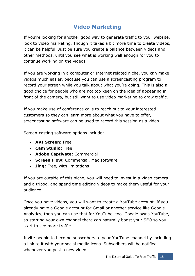# **Video Marketing**

If you're looking for another good way to generate traffic to your website, look to video marketing. Though it takes a bit more time to create videos, it can be helpful. Just be sure you create a balance between videos and other methods, until you see what is working well enough for you to continue working on the videos.

If you are working in a computer or Internet related niche, you can make videos much easier, because you can use a screencasting program to record your screen while you talk about what you're doing. This is also a good choice for people who are not too keen on the idea of appearing in front of the camera, but still want to use video marketing to draw traffic.

If you make use of conference calls to reach out to your interested customers so they can learn more about what you have to offer, screencasting software can be used to record this session as a video.

Screen-casting software options include:

- **AVI Screen:** Free
- **Cam Studio:** Free
- **Adobe Captivate:** Commercial
- **Screen Flow:** Commercial, Mac software
- **Jing:** Free, with limitations

If you are outside of this niche, you will need to invest in a video camera and a tripod, and spend time editing videos to make them useful for your audience.

Once you have videos, you will want to create a YouTube account. If you already have a Google account for Gmail or another service like Google Analytics, then you can use that for YouTube, too. Google owns YouTube, so starting your own channel there can naturally boost your SEO so you start to see more traffic.

Invite people to become subscribers to your YouTube channel by including a link to it with your social media icons. Subscribers will be notified whenever you post a new video.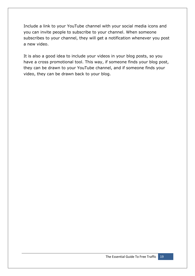Include a link to your YouTube channel with your social media icons and you can invite people to subscribe to your channel. When someone subscribes to your channel, they will get a notification whenever you post a new video.

It is also a good idea to include your videos in your blog posts, so you have a cross promotional tool. This way, if someone finds your blog post, they can be drawn to your YouTube channel, and if someone finds your video, they can be drawn back to your blog.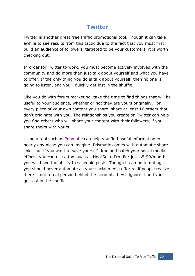# **Twitter**

Twitter is another great free traffic promotional tool. Though it can take awhile to see results from this tactic due to the fact that you must first build an audience of followers, targeted to be your customers, it is worth checking out.

In order for Twitter to work, you must become actively involved with the community and do more than just talk about yourself and what you have to offer. If the only thing you do is talk about yourself, then no one is going to listen, and you'll quickly get lost in the shuffle.

Like you do with forum marketing, take the time to find things that will be useful to your audience, whether or not they are yours originally. For every piece of your own content you share, share at least 10 others that don't originate with you. The relationships you create on Twitter can help you find others who will share your content with their followers, if you share theirs with yours.

Using a tool such as [Prismatic](http://getprismatic.com/) can help you find useful information in nearly any niche you can imagine. Prismatic comes with automatic share links, but if you want to save yourself time and batch your social media efforts, you can use a tool such as HootSuite Pro. For just \$5.99/month, you will have the ability to schedule posts. Though it can be tempting, you should never automate all your social media efforts—if people realize there is not a real person behind the account, they'll ignore it and you'll get lost in the shuffle.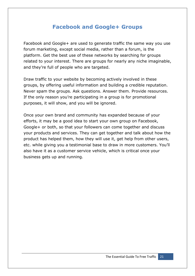# **Facebook and Google+ Groups**

Facebook and Google+ are used to generate traffic the same way you use forum marketing, except social media, rather than a forum, is the platform. Get the best use of these networks by searching for groups related to your interest. There are groups for nearly any niche imaginable, and they're full of people who are targeted.

Draw traffic to your website by becoming actively involved in these groups, by offering useful information and building a credible reputation. Never spam the groups. Ask questions. Answer them. Provide resources. If the only reason you're participating in a group is for promotional purposes, it will show, and you will be ignored.

Once your own brand and community has expanded because of your efforts, it may be a good idea to start your own group on Facebook, Google+ or both, so that your followers can come together and discuss your products and services. They can get together and talk about how the product has helped them, how they will use it, get help from other users, etc. while giving you a testimonial base to draw in more customers. You'll also have it as a customer service vehicle, which is critical once your business gets up and running.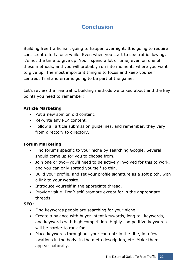# **Conclusion**

Building free traffic isn't going to happen overnight. It is going to require consistent effort, for a while. Even when you start to see traffic flowing, it's not the time to give up. You'll spend a lot of time, even on one of these methods, and you will probably run into moments where you want to give up. The most important thing is to focus and keep yourself centred. Trial and error is going to be part of the game.

Let's review the free traffic building methods we talked about and the key points you need to remember:

#### **Article Marketing**

- Put a new spin on old content.
- Re-write any PLR content.
- Follow all article submission guidelines, and remember, they vary from directory to directory.

#### **Forum Marketing**

- Find forums specific to your niche by searching Google. Several should come up for you to choose from.
- Join one or two—you'll need to be actively involved for this to work, and you can only spread yourself so thin.
- Build your profile, and set your profile signature as a soft pitch, with a link to your website.
- Introduce yourself in the appreciate thread.
- Provide value. Don't self-promote except for in the appropriate threads.

#### **SEO:**

- Find keywords people are searching for your niche.
- Create a balance with buyer intent keywords, long tail keywords, and keywords with high competition. Highly competitive keywords will be harder to rank for.
- Place keywords throughout your content; in the title, in a few locations in the body, in the meta description, etc. Make them appear naturally.